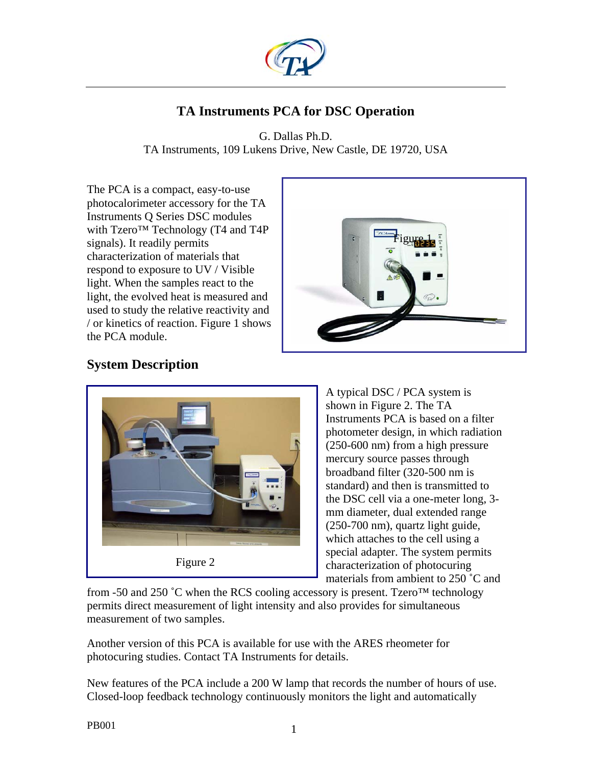

# **TA Instruments PCA for DSC Operation**

G. Dallas Ph.D. TA Instruments, 109 Lukens Drive, New Castle, DE 19720, USA

The PCA is a compact, easy-to-use photocalorimeter accessory for the TA Instruments Q Series DSC modules with Tzero<sup>™</sup> Technology (T4 and T4P signals). It readily permits characterization of materials that respond to exposure to UV / Visible light. When the samples react to the light, the evolved heat is measured and used to study the relative reactivity and / or kinetics of reaction. Figure 1 shows the PCA module.



## **System Description**



A typical DSC / PCA system is shown in Figure 2. The TA Instruments PCA is based on a filter photometer design, in which radiation (250-600 nm) from a high pressure mercury source passes through broadband filter (320-500 nm is standard) and then is transmitted to the DSC cell via a one-meter long, 3 mm diameter, dual extended range (250-700 nm), quartz light guide, which attaches to the cell using a special adapter. The system permits characterization of photocuring materials from ambient to 250 ˚C and

from -50 and 250 °C when the RCS cooling accessory is present. Tzero<sup>TM</sup> technology permits direct measurement of light intensity and also provides for simultaneous measurement of two samples.

Another version of this PCA is available for use with the ARES rheometer for photocuring studies. Contact TA Instruments for details.

New features of the PCA include a 200 W lamp that records the number of hours of use. Closed-loop feedback technology continuously monitors the light and automatically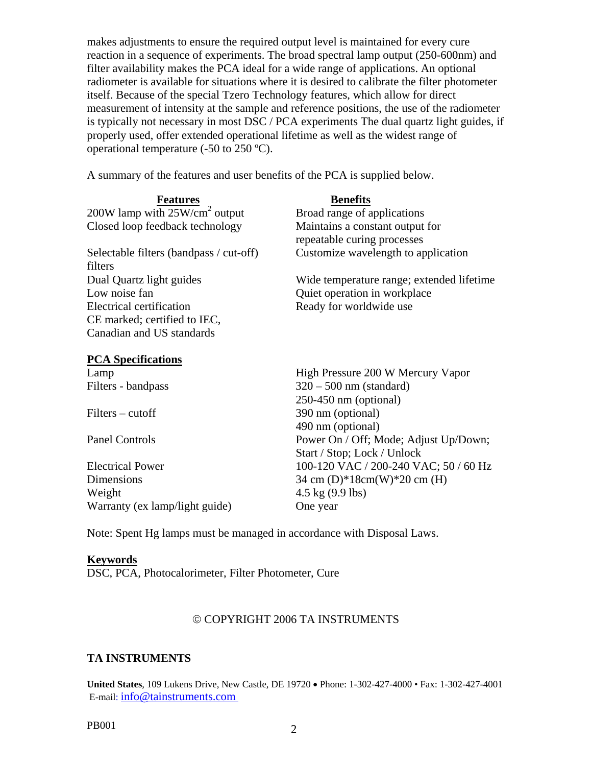makes adjustments to ensure the required output level is maintained for every cure reaction in a sequence of experiments. The broad spectral lamp output (250-600nm) and filter availability makes the PCA ideal for a wide range of applications. An optional radiometer is available for situations where it is desired to calibrate the filter photometer itself. Because of the special Tzero Technology features, which allow for direct measurement of intensity at the sample and reference positions, the use of the radiometer is typically not necessary in most DSC / PCA experiments The dual quartz light guides, if properly used, offer extended operational lifetime as well as the widest range of operational temperature (-50 to 250 ºC).

A summary of the features and user benefits of the PCA is supplied below.

| <b>Features</b>                                    | <b>Benefits</b>                                                |
|----------------------------------------------------|----------------------------------------------------------------|
| 200W lamp with $25W/cm2$ output                    | Broad range of applications                                    |
| Closed loop feedback technology                    | Maintains a constant output for<br>repeatable curing processes |
| Selectable filters (bandpass / cut-off)<br>filters | Customize wavelength to application                            |
| Dual Quartz light guides                           | Wide temperature range; extended lifetime                      |
| Low noise fan                                      | Quiet operation in workplace                                   |
| Electrical certification                           | Ready for worldwide use                                        |
| CE marked; certified to IEC,                       |                                                                |
| Canadian and US standards                          |                                                                |
| <b>PCA Specifications</b>                          |                                                                |
| Lamp                                               | High Pressure 200 W Mercury Vapor                              |
| Filters - bandpass                                 | $320 - 500$ nm (standard)                                      |
|                                                    | $250-450$ nm (optional)                                        |
| $Filters - cutoff$                                 | 390 nm (optional)                                              |
|                                                    | 490 nm (optional)                                              |
| <b>Panel Controls</b>                              | Power On / Off; Mode; Adjust Up/Down;                          |
|                                                    | Start / Stop; Lock / Unlock                                    |

Weight  $4.5 \text{ kg} (9.9 \text{ lbs})$ Warranty (ex lamp/light guide) One year

Start / Stop; Lock / Unlock Electrical Power 100-120 VAC / 200-240 VAC; 50 / 60 Hz Dimensions  $34 \text{ cm}$  (D)\*18cm(W)\*20 cm (H)

Note: Spent Hg lamps must be managed in accordance with Disposal Laws.

#### **Keywords**

DSC, PCA, Photocalorimeter, Filter Photometer, Cure

#### © COPYRIGHT 2006 TA INSTRUMENTS

### **TA INSTRUMENTS**

**United States**, 109 Lukens Drive, New Castle, DE 19720 • Phone: 1-302-427-4000 • Fax: 1-302-427-4001 E-mail: info@tainstruments.com